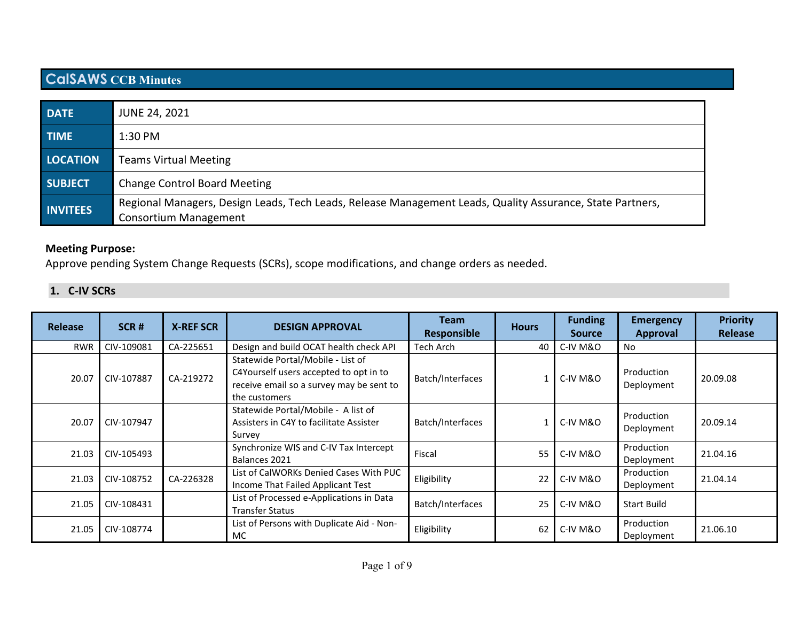# **CalSAWS CCB Minutes**

| <b>DATE</b>     | <b>JUNE 24, 2021</b>                                                                                                                      |
|-----------------|-------------------------------------------------------------------------------------------------------------------------------------------|
| <b>TIME</b>     | $1:30$ PM                                                                                                                                 |
| <b>LOCATION</b> | <b>Teams Virtual Meeting</b>                                                                                                              |
| <b>SUBJECT</b>  | <b>Change Control Board Meeting</b>                                                                                                       |
| <b>INVITEES</b> | Regional Managers, Design Leads, Tech Leads, Release Management Leads, Quality Assurance, State Partners,<br><b>Consortium Management</b> |

## **Meeting Purpose:**

Approve pending System Change Requests (SCRs), scope modifications, and change orders as needed.

## **1. C-IV SCRs**

| <b>Release</b> | SCR#       | <b>X-REF SCR</b> | <b>DESIGN APPROVAL</b>                                                                                                                   | <b>Team</b><br><b>Responsible</b> | <b>Hours</b> | <b>Funding</b><br><b>Source</b> | <b>Emergency</b><br><b>Approval</b> | <b>Priority</b><br><b>Release</b> |
|----------------|------------|------------------|------------------------------------------------------------------------------------------------------------------------------------------|-----------------------------------|--------------|---------------------------------|-------------------------------------|-----------------------------------|
| <b>RWR</b>     | CIV-109081 | CA-225651        | Design and build OCAT health check API                                                                                                   | Tech Arch                         | 40           | C-IV M&O                        | No                                  |                                   |
| 20.07          | CIV-107887 | CA-219272        | Statewide Portal/Mobile - List of<br>C4Yourself users accepted to opt in to<br>receive email so a survey may be sent to<br>the customers | Batch/Interfaces                  |              | C-IV M&O                        | Production<br>Deployment            | 20.09.08                          |
| 20.07          | CIV-107947 |                  | Statewide Portal/Mobile - A list of<br>Assisters in C4Y to facilitate Assister<br>Survey                                                 | Batch/Interfaces                  |              | C-IV M&O                        | Production<br>Deployment            | 20.09.14                          |
| 21.03          | CIV-105493 |                  | Synchronize WIS and C-IV Tax Intercept<br>Balances 2021                                                                                  | Fiscal                            | 55           | C-IV M&O                        | Production<br>Deployment            | 21.04.16                          |
| 21.03          | CIV-108752 | CA-226328        | List of CalWORKs Denied Cases With PUC<br>Income That Failed Applicant Test                                                              | Eligibility                       | 22           | C-IV M&O                        | Production<br>Deployment            | 21.04.14                          |
| 21.05          | CIV-108431 |                  | List of Processed e-Applications in Data<br><b>Transfer Status</b>                                                                       | Batch/Interfaces                  | 25           | C-IV M&O                        | <b>Start Build</b>                  |                                   |
| 21.05          | CIV-108774 |                  | List of Persons with Duplicate Aid - Non-<br>MC                                                                                          | Eligibility                       | 62           | C-IV M&O                        | Production<br>Deployment            | 21.06.10                          |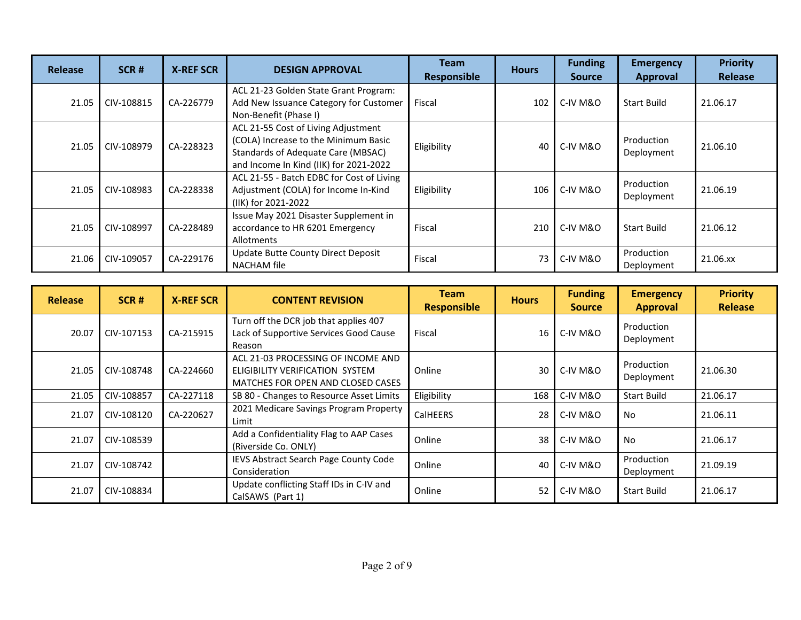| Release | SCR#       | <b>X-REF SCR</b> | <b>DESIGN APPROVAL</b>                                                                                                                                      | Team<br>Responsible | <b>Hours</b> | <b>Funding</b><br><b>Source</b> | <b>Emergency</b><br><b>Approval</b> | <b>Priority</b><br>Release |
|---------|------------|------------------|-------------------------------------------------------------------------------------------------------------------------------------------------------------|---------------------|--------------|---------------------------------|-------------------------------------|----------------------------|
| 21.05   | CIV-108815 | CA-226779        | ACL 21-23 Golden State Grant Program:<br>Add New Issuance Category for Customer<br>Non-Benefit (Phase I)                                                    | Fiscal              | 102          | C-IV M&O                        | <b>Start Build</b>                  | 21.06.17                   |
| 21.05   | CIV-108979 | CA-228323        | ACL 21-55 Cost of Living Adjustment<br>(COLA) Increase to the Minimum Basic<br>Standards of Adequate Care (MBSAC)<br>and Income In Kind (IIK) for 2021-2022 | Eligibility         | 40           | C-IV M&O                        | Production<br>Deployment            | 21.06.10                   |
| 21.05   | CIV-108983 | CA-228338        | ACL 21-55 - Batch EDBC for Cost of Living<br>Adjustment (COLA) for Income In-Kind<br>(IIK) for 2021-2022                                                    | Eligibility         | 106          | C-IV M&O                        | Production<br>Deployment            | 21.06.19                   |
| 21.05   | CIV-108997 | CA-228489        | Issue May 2021 Disaster Supplement in<br>accordance to HR 6201 Emergency<br>Allotments                                                                      | Fiscal              | 210          | C-IV M&O                        | <b>Start Build</b>                  | 21.06.12                   |
| 21.06   | CIV-109057 | CA-229176        | Update Butte County Direct Deposit<br>NACHAM file                                                                                                           | Fiscal              | 73           | C-IV M&O                        | Production<br>Deployment            | 21.06.xx                   |

| <b>Release</b> | SCR#       | <b>X-REF SCR</b> | <b>CONTENT REVISION</b>                                                                                    | <b>Team</b><br><b>Responsible</b> | <b>Hours</b> | <b>Funding</b><br><b>Source</b> | <b>Emergency</b><br><b>Approval</b> | <b>Priority</b><br><b>Release</b> |
|----------------|------------|------------------|------------------------------------------------------------------------------------------------------------|-----------------------------------|--------------|---------------------------------|-------------------------------------|-----------------------------------|
| 20.07          | CIV-107153 | CA-215915        | Turn off the DCR job that applies 407<br>Lack of Supportive Services Good Cause<br>Reason                  | Fiscal                            | 16           | C-IV M&O                        | Production<br>Deployment            |                                   |
| 21.05          | CIV-108748 | CA-224660        | ACL 21-03 PROCESSING OF INCOME AND<br>ELIGIBILITY VERIFICATION SYSTEM<br>MATCHES FOR OPEN AND CLOSED CASES | Online                            | 30           | C-IV M&O                        | Production<br>Deployment            | 21.06.30                          |
| 21.05          | CIV-108857 | CA-227118        | SB 80 - Changes to Resource Asset Limits                                                                   | Eligibility                       | 168          | C-IV M&O                        | <b>Start Build</b>                  | 21.06.17                          |
| 21.07          | CIV-108120 | CA-220627        | 2021 Medicare Savings Program Property<br>Limit                                                            | <b>CalHEERS</b>                   | 28           | C-IV M&O                        | <b>No</b>                           | 21.06.11                          |
| 21.07          | CIV-108539 |                  | Add a Confidentiality Flag to AAP Cases<br>(Riverside Co. ONLY)                                            | Online                            | 38           | C-IV M&O                        | <b>No</b>                           | 21.06.17                          |
| 21.07          | CIV-108742 |                  | IEVS Abstract Search Page County Code<br>Consideration                                                     | Online                            | 40           | C-IV M&O                        | Production<br>Deployment            | 21.09.19                          |
| 21.07          | CIV-108834 |                  | Update conflicting Staff IDs in C-IV and<br>CalSAWS (Part 1)                                               | Online                            | 52           | C-IV M&O                        | <b>Start Build</b>                  | 21.06.17                          |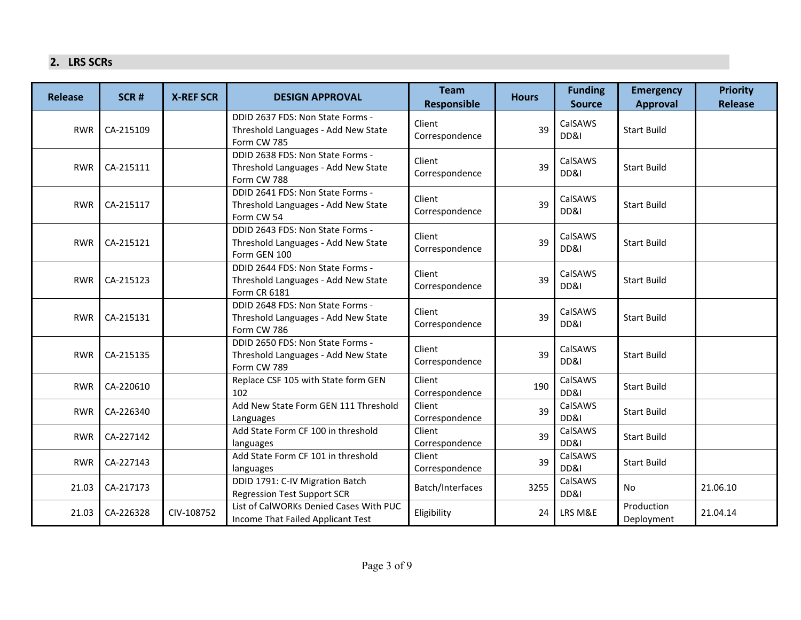#### **2. LRS SCRs**

| <b>Release</b> | SCR#      | <b>X-REF SCR</b> | <b>DESIGN APPROVAL</b>                                                                         | <b>Team</b><br><b>Responsible</b> | <b>Hours</b> | <b>Funding</b><br><b>Source</b> | <b>Emergency</b><br><b>Approval</b> | <b>Priority</b><br><b>Release</b> |
|----------------|-----------|------------------|------------------------------------------------------------------------------------------------|-----------------------------------|--------------|---------------------------------|-------------------------------------|-----------------------------------|
| <b>RWR</b>     | CA-215109 |                  | DDID 2637 FDS: Non State Forms -<br>Threshold Languages - Add New State<br>Form CW 785         | Client<br>Correspondence          | 39           | CalSAWS<br>DD&I                 | <b>Start Build</b>                  |                                   |
| <b>RWR</b>     | CA-215111 |                  | DDID 2638 FDS: Non State Forms -<br>Threshold Languages - Add New State<br>Form CW 788         | Client<br>Correspondence          | 39           | CalSAWS<br>DD&I                 | <b>Start Build</b>                  |                                   |
| <b>RWR</b>     | CA-215117 |                  | DDID 2641 FDS: Non State Forms -<br>Threshold Languages - Add New State<br>Form CW 54          | Client<br>Correspondence          | 39           | CalSAWS<br>DD&I                 | <b>Start Build</b>                  |                                   |
| <b>RWR</b>     | CA-215121 |                  | DDID 2643 FDS: Non State Forms -<br>Threshold Languages - Add New State<br>Form GEN 100        | Client<br>Correspondence          | 39           | CalSAWS<br>DD&I                 | <b>Start Build</b>                  |                                   |
| <b>RWR</b>     | CA-215123 |                  | DDID 2644 FDS: Non State Forms -<br>Threshold Languages - Add New State<br><b>Form CR 6181</b> | Client<br>Correspondence          | 39           | CalSAWS<br>DD&I                 | <b>Start Build</b>                  |                                   |
| <b>RWR</b>     | CA-215131 |                  | DDID 2648 FDS: Non State Forms -<br>Threshold Languages - Add New State<br>Form CW 786         | Client<br>Correspondence          | 39           | CalSAWS<br>DD&I                 | <b>Start Build</b>                  |                                   |
| <b>RWR</b>     | CA-215135 |                  | DDID 2650 FDS: Non State Forms -<br>Threshold Languages - Add New State<br>Form CW 789         | Client<br>Correspondence          | 39           | CalSAWS<br>DD&I                 | <b>Start Build</b>                  |                                   |
| <b>RWR</b>     | CA-220610 |                  | Replace CSF 105 with State form GEN<br>102                                                     | Client<br>Correspondence          | 190          | CalSAWS<br>DD&I                 | <b>Start Build</b>                  |                                   |
| <b>RWR</b>     | CA-226340 |                  | Add New State Form GEN 111 Threshold<br>Languages                                              | Client<br>Correspondence          | 39           | CalSAWS<br>DD&I                 | <b>Start Build</b>                  |                                   |
| <b>RWR</b>     | CA-227142 |                  | Add State Form CF 100 in threshold<br>languages                                                | Client<br>Correspondence          | 39           | CalSAWS<br>DD&I                 | <b>Start Build</b>                  |                                   |
| <b>RWR</b>     | CA-227143 |                  | Add State Form CF 101 in threshold<br>languages                                                | Client<br>Correspondence          | 39           | CalSAWS<br>DD&I                 | <b>Start Build</b>                  |                                   |
| 21.03          | CA-217173 |                  | DDID 1791: C-IV Migration Batch<br><b>Regression Test Support SCR</b>                          | Batch/Interfaces                  | 3255         | CalSAWS<br>DD&I                 | <b>No</b>                           | 21.06.10                          |
| 21.03          | CA-226328 | CIV-108752       | List of CalWORKs Denied Cases With PUC<br>Income That Failed Applicant Test                    | Eligibility                       | 24           | LRS M&E                         | Production<br>Deployment            | 21.04.14                          |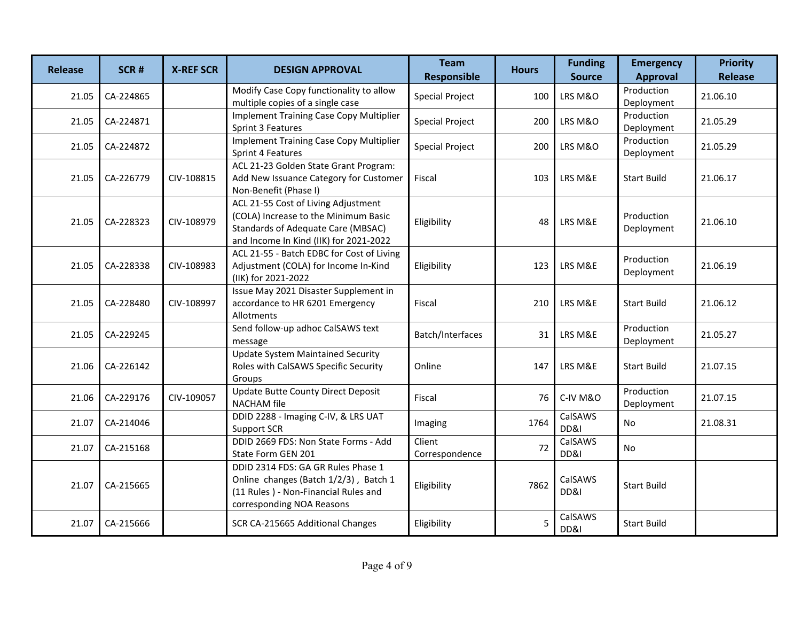| <b>Release</b> | SCR#      | <b>X-REF SCR</b> | <b>DESIGN APPROVAL</b>                                                                                                                                             | <b>Team</b><br><b>Responsible</b> | <b>Hours</b> | <b>Funding</b><br><b>Source</b> | <b>Emergency</b><br><b>Approval</b> | <b>Priority</b><br><b>Release</b> |
|----------------|-----------|------------------|--------------------------------------------------------------------------------------------------------------------------------------------------------------------|-----------------------------------|--------------|---------------------------------|-------------------------------------|-----------------------------------|
| 21.05          | CA-224865 |                  | Modify Case Copy functionality to allow<br>multiple copies of a single case                                                                                        | <b>Special Project</b>            | 100          | LRS M&O                         | Production<br>Deployment            | 21.06.10                          |
| 21.05          | CA-224871 |                  | <b>Implement Training Case Copy Multiplier</b><br>Sprint 3 Features                                                                                                | <b>Special Project</b>            | 200          | LRS M&O                         | Production<br>Deployment            | 21.05.29                          |
| 21.05          | CA-224872 |                  | <b>Implement Training Case Copy Multiplier</b><br>Sprint 4 Features                                                                                                | <b>Special Project</b>            | 200          | LRS M&O                         | Production<br>Deployment            | 21.05.29                          |
| 21.05          | CA-226779 | CIV-108815       | ACL 21-23 Golden State Grant Program:<br>Add New Issuance Category for Customer<br>Non-Benefit (Phase I)                                                           | Fiscal                            | 103          | LRS M&E                         | <b>Start Build</b>                  | 21.06.17                          |
| 21.05          | CA-228323 | CIV-108979       | ACL 21-55 Cost of Living Adjustment<br>(COLA) Increase to the Minimum Basic<br><b>Standards of Adequate Care (MBSAC)</b><br>and Income In Kind (IIK) for 2021-2022 | Eligibility                       | 48           | LRS M&E                         | Production<br>Deployment            | 21.06.10                          |
| 21.05          | CA-228338 | CIV-108983       | ACL 21-55 - Batch EDBC for Cost of Living<br>Adjustment (COLA) for Income In-Kind<br>(IIK) for 2021-2022                                                           | Eligibility                       | 123          | LRS M&E                         | Production<br>Deployment            | 21.06.19                          |
| 21.05          | CA-228480 | CIV-108997       | Issue May 2021 Disaster Supplement in<br>accordance to HR 6201 Emergency<br>Allotments                                                                             | Fiscal                            | 210          | LRS M&E                         | <b>Start Build</b>                  | 21.06.12                          |
| 21.05          | CA-229245 |                  | Send follow-up adhoc CalSAWS text<br>message                                                                                                                       | Batch/Interfaces                  | 31           | LRS M&E                         | Production<br>Deployment            | 21.05.27                          |
| 21.06          | CA-226142 |                  | <b>Update System Maintained Security</b><br>Roles with CalSAWS Specific Security<br>Groups                                                                         | Online                            | 147          | LRS M&E                         | <b>Start Build</b>                  | 21.07.15                          |
| 21.06          | CA-229176 | CIV-109057       | Update Butte County Direct Deposit<br><b>NACHAM</b> file                                                                                                           | Fiscal                            | 76           | C-IV M&O                        | Production<br>Deployment            | 21.07.15                          |
| 21.07          | CA-214046 |                  | DDID 2288 - Imaging C-IV, & LRS UAT<br>Support SCR                                                                                                                 | Imaging                           | 1764         | CalSAWS<br>DD&I                 | No                                  | 21.08.31                          |
| 21.07          | CA-215168 |                  | DDID 2669 FDS: Non State Forms - Add<br>State Form GEN 201                                                                                                         | Client<br>Correspondence          | 72           | CalSAWS<br>DD&I                 | No                                  |                                   |
| 21.07          | CA-215665 |                  | DDID 2314 FDS: GA GR Rules Phase 1<br>Online changes (Batch 1/2/3), Batch 1<br>(11 Rules) - Non-Financial Rules and<br>corresponding NOA Reasons                   | Eligibility                       | 7862         | CalSAWS<br>DD&I                 | <b>Start Build</b>                  |                                   |
| 21.07          | CA-215666 |                  | SCR CA-215665 Additional Changes                                                                                                                                   | Eligibility                       | 5            | CalSAWS<br>DD&I                 | <b>Start Build</b>                  |                                   |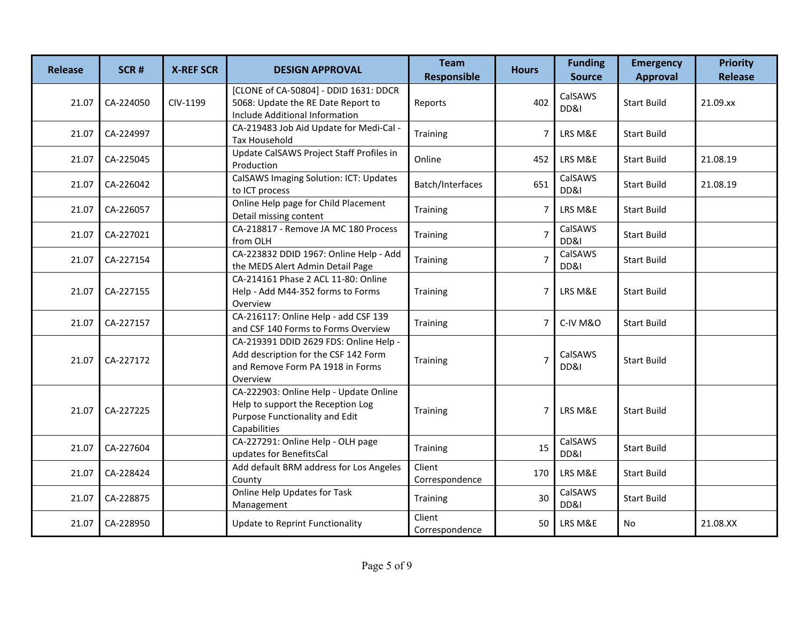| <b>Release</b> | SCR#      | <b>X-REF SCR</b> | <b>DESIGN APPROVAL</b>                                                                                                         | <b>Team</b><br><b>Responsible</b> | <b>Hours</b>   | <b>Funding</b><br><b>Source</b> | <b>Emergency</b><br><b>Approval</b> | <b>Priority</b><br><b>Release</b> |
|----------------|-----------|------------------|--------------------------------------------------------------------------------------------------------------------------------|-----------------------------------|----------------|---------------------------------|-------------------------------------|-----------------------------------|
| 21.07          | CA-224050 | CIV-1199         | [CLONE of CA-50804] - DDID 1631: DDCR<br>5068: Update the RE Date Report to<br>Include Additional Information                  | Reports                           | 402            | CalSAWS<br>DD&I                 | <b>Start Build</b>                  | 21.09.xx                          |
| 21.07          | CA-224997 |                  | CA-219483 Job Aid Update for Medi-Cal -<br><b>Tax Household</b>                                                                | Training                          | 7              | LRS M&E                         | <b>Start Build</b>                  |                                   |
| 21.07          | CA-225045 |                  | Update CalSAWS Project Staff Profiles in<br>Production                                                                         | Online                            | 452            | LRS M&E                         | <b>Start Build</b>                  | 21.08.19                          |
| 21.07          | CA-226042 |                  | CalSAWS Imaging Solution: ICT: Updates<br>to ICT process                                                                       | Batch/Interfaces                  | 651            | CalSAWS<br>DD&I                 | <b>Start Build</b>                  | 21.08.19                          |
| 21.07          | CA-226057 |                  | Online Help page for Child Placement<br>Detail missing content                                                                 | Training                          | 7              | LRS M&E                         | <b>Start Build</b>                  |                                   |
| 21.07          | CA-227021 |                  | CA-218817 - Remove JA MC 180 Process<br>from OLH                                                                               | Training                          | $\overline{7}$ | CalSAWS<br>DD&I                 | <b>Start Build</b>                  |                                   |
| 21.07          | CA-227154 |                  | CA-223832 DDID 1967: Online Help - Add<br>the MEDS Alert Admin Detail Page                                                     | Training                          | $\overline{7}$ | CalSAWS<br>DD&I                 | <b>Start Build</b>                  |                                   |
| 21.07          | CA-227155 |                  | CA-214161 Phase 2 ACL 11-80: Online<br>Help - Add M44-352 forms to Forms<br>Overview                                           | Training                          | 7              | LRS M&E                         | <b>Start Build</b>                  |                                   |
| 21.07          | CA-227157 |                  | CA-216117: Online Help - add CSF 139<br>and CSF 140 Forms to Forms Overview                                                    | Training                          | 7              | C-IV M&O                        | <b>Start Build</b>                  |                                   |
| 21.07          | CA-227172 |                  | CA-219391 DDID 2629 FDS: Online Help -<br>Add description for the CSF 142 Form<br>and Remove Form PA 1918 in Forms<br>Overview | Training                          | $\overline{7}$ | CalSAWS<br>DD&I                 | <b>Start Build</b>                  |                                   |
| 21.07          | CA-227225 |                  | CA-222903: Online Help - Update Online<br>Help to support the Reception Log<br>Purpose Functionality and Edit<br>Capabilities  | Training                          | 7              | LRS M&E                         | <b>Start Build</b>                  |                                   |
| 21.07          | CA-227604 |                  | CA-227291: Online Help - OLH page<br>updates for BenefitsCal                                                                   | Training                          | 15             | CalSAWS<br>DD&I                 | <b>Start Build</b>                  |                                   |
| 21.07          | CA-228424 |                  | Add default BRM address for Los Angeles<br>County                                                                              | Client<br>Correspondence          | 170            | LRS M&E                         | <b>Start Build</b>                  |                                   |
| 21.07          | CA-228875 |                  | Online Help Updates for Task<br>Management                                                                                     | Training                          | 30             | CalSAWS<br>DD&I                 | <b>Start Build</b>                  |                                   |
| 21.07          | CA-228950 |                  | Update to Reprint Functionality                                                                                                | Client<br>Correspondence          | 50             | LRS M&E                         | <b>No</b>                           | 21.08.XX                          |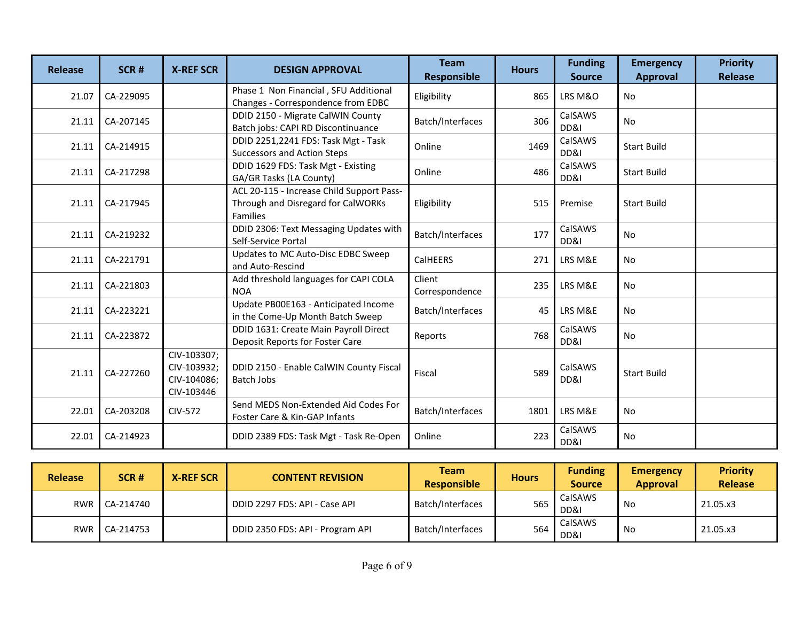| <b>Release</b> | SCR#      | <b>X-REF SCR</b>                                        | <b>DESIGN APPROVAL</b>                                                                      | <b>Team</b><br><b>Responsible</b> | <b>Hours</b> | <b>Funding</b><br><b>Source</b> | <b>Emergency</b><br><b>Approval</b> | <b>Priority</b><br><b>Release</b> |
|----------------|-----------|---------------------------------------------------------|---------------------------------------------------------------------------------------------|-----------------------------------|--------------|---------------------------------|-------------------------------------|-----------------------------------|
| 21.07          | CA-229095 |                                                         | Phase 1 Non Financial, SFU Additional<br>Changes - Correspondence from EDBC                 | Eligibility                       | 865          | LRS M&O                         | <b>No</b>                           |                                   |
| 21.11          | CA-207145 |                                                         | DDID 2150 - Migrate CalWIN County<br>Batch jobs: CAPI RD Discontinuance                     | Batch/Interfaces                  | 306          | CalSAWS<br>DD&I                 | <b>No</b>                           |                                   |
| 21.11          | CA-214915 |                                                         | DDID 2251,2241 FDS: Task Mgt - Task<br>Successors and Action Steps                          | Online                            | 1469         | CalSAWS<br>DD&I                 | <b>Start Build</b>                  |                                   |
| 21.11          | CA-217298 |                                                         | DDID 1629 FDS: Task Mgt - Existing<br>GA/GR Tasks (LA County)                               | Online                            | 486          | CalSAWS<br>DD&I                 | <b>Start Build</b>                  |                                   |
| 21.11          | CA-217945 |                                                         | ACL 20-115 - Increase Child Support Pass-<br>Through and Disregard for CalWORKs<br>Families | Eligibility                       | 515          | Premise                         | <b>Start Build</b>                  |                                   |
| 21.11          | CA-219232 |                                                         | DDID 2306: Text Messaging Updates with<br>Self-Service Portal                               | Batch/Interfaces                  | 177          | CalSAWS<br>DD&I                 | No                                  |                                   |
| 21.11          | CA-221791 |                                                         | Updates to MC Auto-Disc EDBC Sweep<br>and Auto-Rescind                                      | CalHEERS                          | 271          | LRS M&E                         | <b>No</b>                           |                                   |
| 21.11          | CA-221803 |                                                         | Add threshold languages for CAPI COLA<br><b>NOA</b>                                         | Client<br>Correspondence          | 235          | LRS M&E                         | <b>No</b>                           |                                   |
| 21.11          | CA-223221 |                                                         | Update PB00E163 - Anticipated Income<br>in the Come-Up Month Batch Sweep                    | Batch/Interfaces                  | 45           | LRS M&E                         | <b>No</b>                           |                                   |
| 21.11          | CA-223872 |                                                         | DDID 1631: Create Main Payroll Direct<br>Deposit Reports for Foster Care                    | Reports                           | 768          | CalSAWS<br>DD&I                 | No                                  |                                   |
| 21.11          | CA-227260 | CIV-103307;<br>CIV-103932;<br>CIV-104086;<br>CIV-103446 | DDID 2150 - Enable CalWIN County Fiscal<br><b>Batch Jobs</b>                                | Fiscal                            | 589          | CalSAWS<br>DD&I                 | <b>Start Build</b>                  |                                   |
| 22.01          | CA-203208 | <b>CIV-572</b>                                          | Send MEDS Non-Extended Aid Codes For<br>Foster Care & Kin-GAP Infants                       | Batch/Interfaces                  | 1801         | LRS M&E                         | <b>No</b>                           |                                   |
| 22.01          | CA-214923 |                                                         | DDID 2389 FDS: Task Mgt - Task Re-Open                                                      | Online                            | 223          | CalSAWS<br>DD&I                 | <b>No</b>                           |                                   |

| <b>Release</b> | SCR#            | <b>X-REF SCR</b> | <b>CONTENT REVISION</b>          | Team<br><b>Responsible</b> | <b>Hours</b> | <b>Funding</b><br><b>Source</b> | <b>Emergency</b><br><b>Approval</b> | <b>Priority</b><br><b>Release</b> |
|----------------|-----------------|------------------|----------------------------------|----------------------------|--------------|---------------------------------|-------------------------------------|-----------------------------------|
|                | RWR   CA-214740 |                  | DDID 2297 FDS: API - Case API    | Batch/Interfaces           | 565          | CalSAWS<br>DD&I                 | No                                  | 21.05.x3                          |
| RWR            | CA-214753       |                  | DDID 2350 FDS: API - Program API | Batch/Interfaces           | 564          | CalSAWS<br>DD&I                 | No                                  | 21.05.x3                          |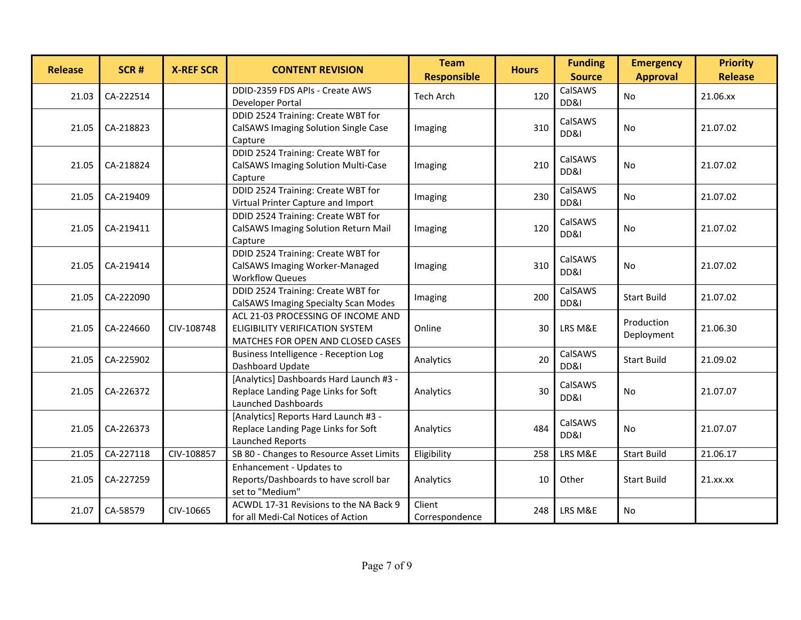| <b>Release</b> | SCR#      | <b>X-REF SCR</b> | <b>CONTENT REVISION</b>                                                                                    | <b>Team</b><br><b>Responsible</b> | <b>Hours</b> | <b>Funding</b><br><b>Source</b> | <b>Emergency</b><br><b>Approval</b> | <b>Priority</b><br><b>Release</b> |
|----------------|-----------|------------------|------------------------------------------------------------------------------------------------------------|-----------------------------------|--------------|---------------------------------|-------------------------------------|-----------------------------------|
| 21.03          | CA-222514 |                  | DDID-2359 FDS APIs - Create AWS<br>Developer Portal                                                        | Tech Arch                         | 120          | CalSAWS<br>DD&I                 | No.                                 | 21.06.xx                          |
| 21.05          | CA-218823 |                  | DDID 2524 Training: Create WBT for<br>CalSAWS Imaging Solution Single Case<br>Capture                      | Imaging                           | 310          | CalSAWS<br>DD&I                 | No.                                 | 21.07.02                          |
| 21.05          | CA-218824 |                  | DDID 2524 Training: Create WBT for<br>CalSAWS Imaging Solution Multi-Case<br>Capture                       | Imaging                           | 210          | CalSAWS<br>DD&I                 | No.                                 | 21.07.02                          |
| 21.05          | CA-219409 |                  | DDID 2524 Training: Create WBT for<br>Virtual Printer Capture and Import                                   | Imaging                           | 230          | CalSAWS<br>DD&I                 | <b>No</b>                           | 21.07.02                          |
| 21.05          | CA-219411 |                  | DDID 2524 Training: Create WBT for<br>CalSAWS Imaging Solution Return Mail<br>Capture                      | Imaging                           | 120          | CalSAWS<br>DD&I                 | No.                                 | 21.07.02                          |
| 21.05          | CA-219414 |                  | DDID 2524 Training: Create WBT for<br>CalSAWS Imaging Worker-Managed<br><b>Workflow Queues</b>             | Imaging                           | 310          | CalSAWS<br>DD&I                 | No.                                 | 21.07.02                          |
| 21.05          | CA-222090 |                  | DDID 2524 Training: Create WBT for<br>CalSAWS Imaging Specialty Scan Modes                                 | Imaging                           | 200          | CalSAWS<br>DD&I                 | <b>Start Build</b>                  | 21.07.02                          |
| 21.05          | CA-224660 | CIV-108748       | ACL 21-03 PROCESSING OF INCOME AND<br>ELIGIBILITY VERIFICATION SYSTEM<br>MATCHES FOR OPEN AND CLOSED CASES | Online                            | 30           | LRS M&E                         | Production<br>Deployment            | 21.06.30                          |
| 21.05          | CA-225902 |                  | Business Intelligence - Reception Log<br>Dashboard Update                                                  | Analytics                         | 20           | CalSAWS<br>DD&I                 | <b>Start Build</b>                  | 21.09.02                          |
| 21.05          | CA-226372 |                  | [Analytics] Dashboards Hard Launch #3 -<br>Replace Landing Page Links for Soft<br>Launched Dashboards      | Analytics                         | 30           | CalSAWS<br>DD&I                 | <b>No</b>                           | 21.07.07                          |
| 21.05          | CA-226373 |                  | [Analytics] Reports Hard Launch #3 -<br>Replace Landing Page Links for Soft<br>Launched Reports            | Analytics                         | 484          | CalSAWS<br>DD&I                 | <b>No</b>                           | 21.07.07                          |
| 21.05          | CA-227118 | CIV-108857       | SB 80 - Changes to Resource Asset Limits                                                                   | Eligibility                       | 258          | LRS M&E                         | <b>Start Build</b>                  | 21.06.17                          |
| 21.05          | CA-227259 |                  | Enhancement - Updates to<br>Reports/Dashboards to have scroll bar<br>set to "Medium"                       | Analytics                         | 10           | Other                           | <b>Start Build</b>                  | 21.xx.xx                          |
| 21.07          | CA-58579  | CIV-10665        | ACWDL 17-31 Revisions to the NA Back 9<br>for all Medi-Cal Notices of Action                               | Client<br>Correspondence          | 248          | LRS M&E                         | No                                  |                                   |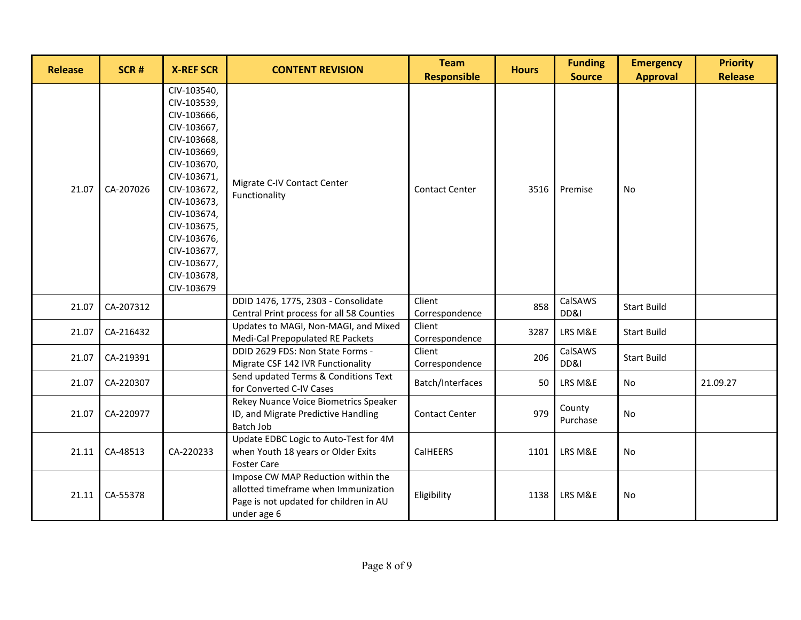| <b>Release</b> | SCR#      | <b>X-REF SCR</b>                                                                                                                                                                                                                                           | <b>CONTENT REVISION</b>                                                                                                             | <b>Team</b><br><b>Responsible</b> | <b>Hours</b> | <b>Funding</b><br><b>Source</b> | <b>Emergency</b><br><b>Approval</b> | <b>Priority</b><br><b>Release</b> |
|----------------|-----------|------------------------------------------------------------------------------------------------------------------------------------------------------------------------------------------------------------------------------------------------------------|-------------------------------------------------------------------------------------------------------------------------------------|-----------------------------------|--------------|---------------------------------|-------------------------------------|-----------------------------------|
| 21.07          | CA-207026 | CIV-103540,<br>CIV-103539,<br>CIV-103666,<br>CIV-103667,<br>CIV-103668,<br>CIV-103669,<br>CIV-103670,<br>CIV-103671,<br>CIV-103672,<br>CIV-103673,<br>CIV-103674,<br>CIV-103675,<br>CIV-103676,<br>CIV-103677,<br>CIV-103677,<br>CIV-103678,<br>CIV-103679 | Migrate C-IV Contact Center<br>Functionality                                                                                        | <b>Contact Center</b>             | 3516         | Premise                         | <b>No</b>                           |                                   |
| 21.07          | CA-207312 |                                                                                                                                                                                                                                                            | DDID 1476, 1775, 2303 - Consolidate<br>Central Print process for all 58 Counties                                                    | Client<br>Correspondence          | 858          | CalSAWS<br>DD&I                 | <b>Start Build</b>                  |                                   |
| 21.07          | CA-216432 |                                                                                                                                                                                                                                                            | Updates to MAGI, Non-MAGI, and Mixed<br>Medi-Cal Prepopulated RE Packets                                                            | Client<br>Correspondence          | 3287         | LRS M&E                         | <b>Start Build</b>                  |                                   |
| 21.07          | CA-219391 |                                                                                                                                                                                                                                                            | DDID 2629 FDS: Non State Forms -<br>Migrate CSF 142 IVR Functionality                                                               | Client<br>Correspondence          | 206          | CalSAWS<br>DD&I                 | <b>Start Build</b>                  |                                   |
| 21.07          | CA-220307 |                                                                                                                                                                                                                                                            | Send updated Terms & Conditions Text<br>for Converted C-IV Cases                                                                    | Batch/Interfaces                  | 50           | LRS M&E                         | <b>No</b>                           | 21.09.27                          |
| 21.07          | CA-220977 |                                                                                                                                                                                                                                                            | Rekey Nuance Voice Biometrics Speaker<br>ID, and Migrate Predictive Handling<br>Batch Job                                           | Contact Center                    | 979          | County<br>Purchase              | No                                  |                                   |
| 21.11          | CA-48513  | CA-220233                                                                                                                                                                                                                                                  | Update EDBC Logic to Auto-Test for 4M<br>when Youth 18 years or Older Exits<br><b>Foster Care</b>                                   | CalHEERS                          | 1101         | LRS M&E                         | No                                  |                                   |
| 21.11          | CA-55378  |                                                                                                                                                                                                                                                            | Impose CW MAP Reduction within the<br>allotted timeframe when Immunization<br>Page is not updated for children in AU<br>under age 6 | Eligibility                       | 1138         | LRS M&E                         | No                                  |                                   |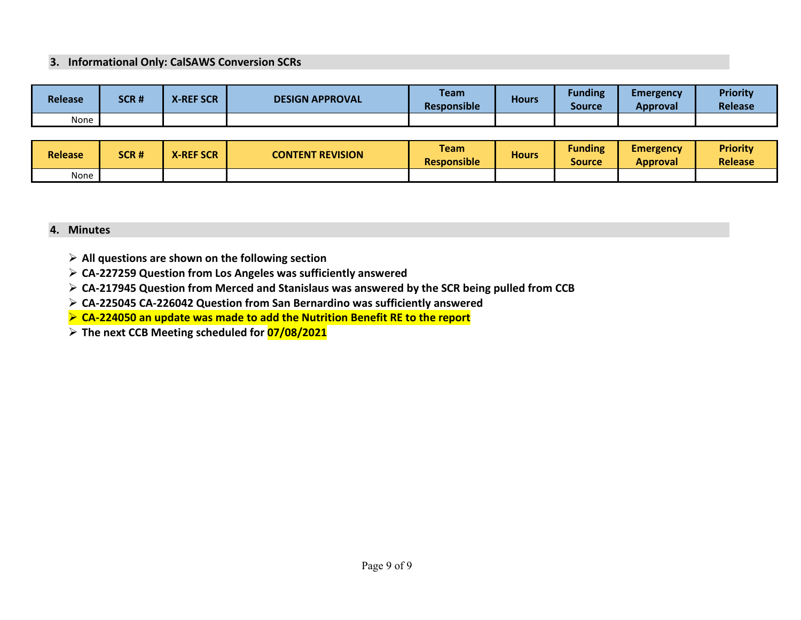#### **3. Informational Only: CalSAWS Conversion SCRs**

| <b>Release</b> | SCR# | <b>X-REF SCR</b> | <b>DESIGN APPROVAL</b> | <b>Team</b><br><b>Responsible</b> | <b>Hours</b> | <b>Funding</b><br><b>Source</b> | Emergency<br>Approval | <b>Priority</b><br><b>Release</b> |
|----------------|------|------------------|------------------------|-----------------------------------|--------------|---------------------------------|-----------------------|-----------------------------------|
| None           |      |                  |                        |                                   |              |                                 |                       |                                   |

| <b>Release</b> | SCR# | <b>X-REF SCR</b> | <b>CONTENT REVISION</b> | <b>Team</b><br><b>Responsible</b> | <b>Hours</b> | <b>Funding</b><br>Source | <b>Emergency</b><br><b>Approval</b> | <b>Priority</b><br><b>Release</b> |
|----------------|------|------------------|-------------------------|-----------------------------------|--------------|--------------------------|-------------------------------------|-----------------------------------|
| None           |      |                  |                         |                                   |              |                          |                                     |                                   |

#### **4. Minutes**

- **All questions are shown on the following section**
- **CA-227259 Question from Los Angeles was sufficiently answered**
- **CA-217945 Question from Merced and Stanislaus was answered by the SCR being pulled from CCB**
- **CA-225045 CA-226042 Question from San Bernardino was sufficiently answered**
- **CA-224050 an update was made to add the Nutrition Benefit RE to the report**
- **The next CCB Meeting scheduled for 07/08/2021**